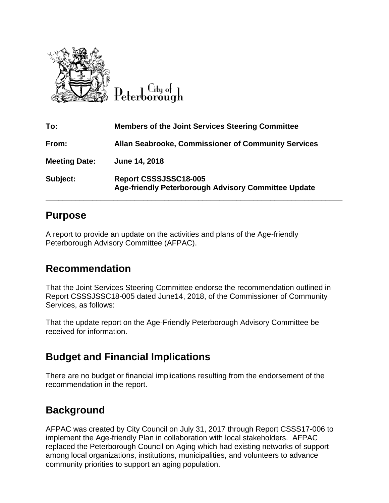

Citu ol Peterborough

| To:                  | <b>Members of the Joint Services Steering Committee</b>                      |
|----------------------|------------------------------------------------------------------------------|
| From:                | Allan Seabrooke, Commissioner of Community Services                          |
| <b>Meeting Date:</b> | June 14, 2018                                                                |
| Subject:             | Report CSSSJSSC18-005<br>Age-friendly Peterborough Advisory Committee Update |

## **Purpose**

A report to provide an update on the activities and plans of the Age-friendly Peterborough Advisory Committee (AFPAC).

## **Recommendation**

That the Joint Services Steering Committee endorse the recommendation outlined in Report CSSSJSSC18-005 dated June14, 2018, of the Commissioner of Community Services, as follows:

That the update report on the Age-Friendly Peterborough Advisory Committee be received for information.

# **Budget and Financial Implications**

There are no budget or financial implications resulting from the endorsement of the recommendation in the report.

# **Background**

AFPAC was created by City Council on July 31, 2017 through Report CSSS17-006 to implement the Age-friendly Plan in collaboration with local stakeholders. AFPAC replaced the Peterborough Council on Aging which had existing networks of support among local organizations, institutions, municipalities, and volunteers to advance community priorities to support an aging population.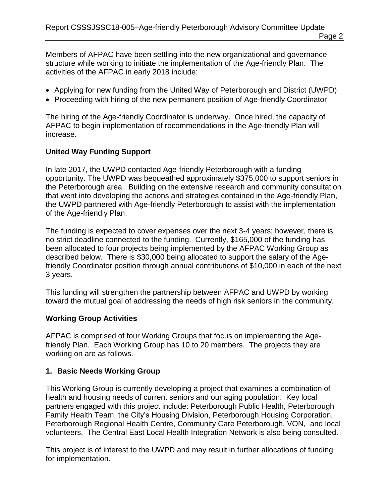Members of AFPAC have been settling into the new organizational and governance structure while working to initiate the implementation of the Age-friendly Plan. The activities of the AFPAC in early 2018 include:

- Applying for new funding from the United Way of Peterborough and District (UWPD)
- Proceeding with hiring of the new permanent position of Age-friendly Coordinator

The hiring of the Age-friendly Coordinator is underway. Once hired, the capacity of AFPAC to begin implementation of recommendations in the Age-friendly Plan will increase.

### **United Way Funding Support**

In late 2017, the UWPD contacted Age-friendly Peterborough with a funding opportunity. The UWPD was bequeathed approximately \$375,000 to support seniors in the Peterborough area. Building on the extensive research and community consultation that went into developing the actions and strategies contained in the Age-friendly Plan, the UWPD partnered with Age-friendly Peterborough to assist with the implementation of the Age-friendly Plan.

The funding is expected to cover expenses over the next 3-4 years; however, there is no strict deadline connected to the funding. Currently, \$165,000 of the funding has been allocated to four projects being implemented by the AFPAC Working Group as described below. There is \$30,000 being allocated to support the salary of the Agefriendly Coordinator position through annual contributions of \$10,000 in each of the next 3 years.

This funding will strengthen the partnership between AFPAC and UWPD by working toward the mutual goal of addressing the needs of high risk seniors in the community.

#### **Working Group Activities**

AFPAC is comprised of four Working Groups that focus on implementing the Agefriendly Plan. Each Working Group has 10 to 20 members. The projects they are working on are as follows.

### **1. Basic Needs Working Group**

This Working Group is currently developing a project that examines a combination of health and housing needs of current seniors and our aging population. Key local partners engaged with this project include: Peterborough Public Health, Peterborough Family Health Team, the City's Housing Division, Peterborough Housing Corporation, Peterborough Regional Health Centre, Community Care Peterborough, VON, and local volunteers. The Central East Local Health Integration Network is also being consulted.

This project is of interest to the UWPD and may result in further allocations of funding for implementation.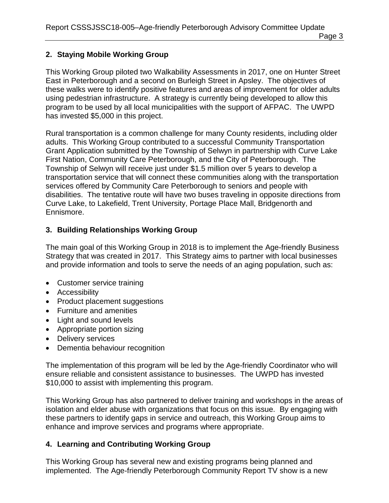### **2. Staying Mobile Working Group**

This Working Group piloted two Walkability Assessments in 2017, one on Hunter Street East in Peterborough and a second on Burleigh Street in Apsley. The objectives of these walks were to identify positive features and areas of improvement for older adults using pedestrian infrastructure. A strategy is currently being developed to allow this program to be used by all local municipalities with the support of AFPAC. The UWPD has invested \$5,000 in this project.

Rural transportation is a common challenge for many County residents, including older adults. This Working Group contributed to a successful Community Transportation Grant Application submitted by the Township of Selwyn in partnership with Curve Lake First Nation, Community Care Peterborough, and the City of Peterborough. The Township of Selwyn will receive just under \$1.5 million over 5 years to develop a transportation service that will connect these communities along with the transportation services offered by Community Care Peterborough to seniors and people with disabilities. The tentative route will have two buses traveling in opposite directions from Curve Lake, to Lakefield, Trent University, Portage Place Mall, Bridgenorth and Ennismore.

### **3. Building Relationships Working Group**

The main goal of this Working Group in 2018 is to implement the Age-friendly Business Strategy that was created in 2017. This Strategy aims to partner with local businesses and provide information and tools to serve the needs of an aging population, such as:

- Customer service training
- Accessibility
- Product placement suggestions
- Furniture and amenities
- Light and sound levels
- Appropriate portion sizing
- Delivery services
- Dementia behaviour recognition

The implementation of this program will be led by the Age-friendly Coordinator who will ensure reliable and consistent assistance to businesses. The UWPD has invested \$10,000 to assist with implementing this program.

This Working Group has also partnered to deliver training and workshops in the areas of isolation and elder abuse with organizations that focus on this issue. By engaging with these partners to identify gaps in service and outreach, this Working Group aims to enhance and improve services and programs where appropriate.

#### **4. Learning and Contributing Working Group**

This Working Group has several new and existing programs being planned and implemented. The Age-friendly Peterborough Community Report TV show is a new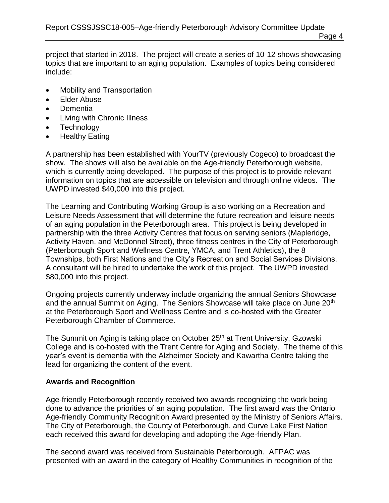project that started in 2018. The project will create a series of 10-12 shows showcasing topics that are important to an aging population. Examples of topics being considered include:

- Mobility and Transportation
- Elder Abuse
- **Dementia**
- Living with Chronic Illness
- Technology
- Healthy Eating

A partnership has been established with YourTV (previously Cogeco) to broadcast the show. The shows will also be available on the Age-friendly Peterborough website, which is currently being developed. The purpose of this project is to provide relevant information on topics that are accessible on television and through online videos. The UWPD invested \$40,000 into this project.

The Learning and Contributing Working Group is also working on a Recreation and Leisure Needs Assessment that will determine the future recreation and leisure needs of an aging population in the Peterborough area. This project is being developed in partnership with the three Activity Centres that focus on serving seniors (Mapleridge, Activity Haven, and McDonnel Street), three fitness centres in the City of Peterborough (Peterborough Sport and Wellness Centre, YMCA, and Trent Athletics), the 8 Townships, both First Nations and the City's Recreation and Social Services Divisions. A consultant will be hired to undertake the work of this project. The UWPD invested \$80,000 into this project.

Ongoing projects currently underway include organizing the annual Seniors Showcase and the annual Summit on Aging. The Seniors Showcase will take place on June 20<sup>th</sup> at the Peterborough Sport and Wellness Centre and is co-hosted with the Greater Peterborough Chamber of Commerce.

The Summit on Aging is taking place on October 25<sup>th</sup> at Trent University, Gzowski College and is co-hosted with the Trent Centre for Aging and Society. The theme of this year's event is dementia with the Alzheimer Society and Kawartha Centre taking the lead for organizing the content of the event.

#### **Awards and Recognition**

Age-friendly Peterborough recently received two awards recognizing the work being done to advance the priorities of an aging population. The first award was the Ontario Age-friendly Community Recognition Award presented by the Ministry of Seniors Affairs. The City of Peterborough, the County of Peterborough, and Curve Lake First Nation each received this award for developing and adopting the Age-friendly Plan.

The second award was received from Sustainable Peterborough. AFPAC was presented with an award in the category of Healthy Communities in recognition of the